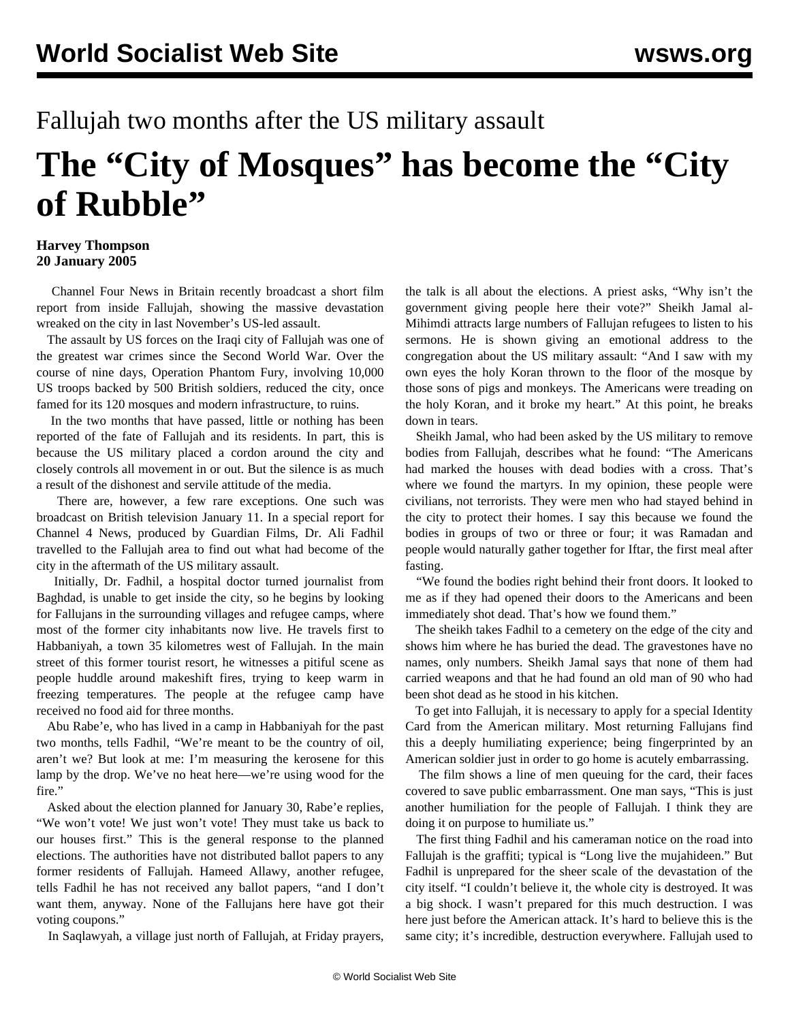## Fallujah two months after the US military assault **The "City of Mosques" has become the "City of Rubble"**

## **Harvey Thompson 20 January 2005**

 Channel Four News in Britain recently broadcast a short film report from inside Fallujah, showing the massive devastation wreaked on the city in last November's US-led assault.

 The assault by US forces on the Iraqi city of Fallujah was one of the greatest war crimes since the Second World War. Over the course of nine days, Operation Phantom Fury, involving 10,000 US troops backed by 500 British soldiers, reduced the city, once famed for its 120 mosques and modern infrastructure, to ruins.

 In the two months that have passed, little or nothing has been reported of the fate of Fallujah and its residents. In part, this is because the US military placed a cordon around the city and closely controls all movement in or out. But the silence is as much a result of the dishonest and servile attitude of the media.

 There are, however, a few rare exceptions. One such was broadcast on British television January 11. In a special report for Channel 4 News, produced by Guardian Films, Dr. Ali Fadhil travelled to the Fallujah area to find out what had become of the city in the aftermath of the US military assault.

 Initially, Dr. Fadhil, a hospital doctor turned journalist from Baghdad, is unable to get inside the city, so he begins by looking for Fallujans in the surrounding villages and refugee camps, where most of the former city inhabitants now live. He travels first to Habbaniyah, a town 35 kilometres west of Fallujah. In the main street of this former tourist resort, he witnesses a pitiful scene as people huddle around makeshift fires, trying to keep warm in freezing temperatures. The people at the refugee camp have received no food aid for three months.

 Abu Rabe'e, who has lived in a camp in Habbaniyah for the past two months, tells Fadhil, "We're meant to be the country of oil, aren't we? But look at me: I'm measuring the kerosene for this lamp by the drop. We've no heat here—we're using wood for the fire."

 Asked about the election planned for January 30, Rabe'e replies, "We won't vote! We just won't vote! They must take us back to our houses first." This is the general response to the planned elections. The authorities have not distributed ballot papers to any former residents of Fallujah. Hameed Allawy, another refugee, tells Fadhil he has not received any ballot papers, "and I don't want them, anyway. None of the Fallujans here have got their voting coupons."

In Saqlawyah, a village just north of Fallujah, at Friday prayers,

the talk is all about the elections. A priest asks, "Why isn't the government giving people here their vote?" Sheikh Jamal al-Mihimdi attracts large numbers of Fallujan refugees to listen to his sermons. He is shown giving an emotional address to the congregation about the US military assault: "And I saw with my own eyes the holy Koran thrown to the floor of the mosque by those sons of pigs and monkeys. The Americans were treading on the holy Koran, and it broke my heart." At this point, he breaks down in tears.

 Sheikh Jamal, who had been asked by the US military to remove bodies from Fallujah, describes what he found: "The Americans had marked the houses with dead bodies with a cross. That's where we found the martyrs. In my opinion, these people were civilians, not terrorists. They were men who had stayed behind in the city to protect their homes. I say this because we found the bodies in groups of two or three or four; it was Ramadan and people would naturally gather together for Iftar, the first meal after fasting.

 "We found the bodies right behind their front doors. It looked to me as if they had opened their doors to the Americans and been immediately shot dead. That's how we found them."

 The sheikh takes Fadhil to a cemetery on the edge of the city and shows him where he has buried the dead. The gravestones have no names, only numbers. Sheikh Jamal says that none of them had carried weapons and that he had found an old man of 90 who had been shot dead as he stood in his kitchen.

 To get into Fallujah, it is necessary to apply for a special Identity Card from the American military. Most returning Fallujans find this a deeply humiliating experience; being fingerprinted by an American soldier just in order to go home is acutely embarrassing.

 The film shows a line of men queuing for the card, their faces covered to save public embarrassment. One man says, "This is just another humiliation for the people of Fallujah. I think they are doing it on purpose to humiliate us."

 The first thing Fadhil and his cameraman notice on the road into Fallujah is the graffiti; typical is "Long live the mujahideen." But Fadhil is unprepared for the sheer scale of the devastation of the city itself. "I couldn't believe it, the whole city is destroyed. It was a big shock. I wasn't prepared for this much destruction. I was here just before the American attack. It's hard to believe this is the same city; it's incredible, destruction everywhere. Fallujah used to